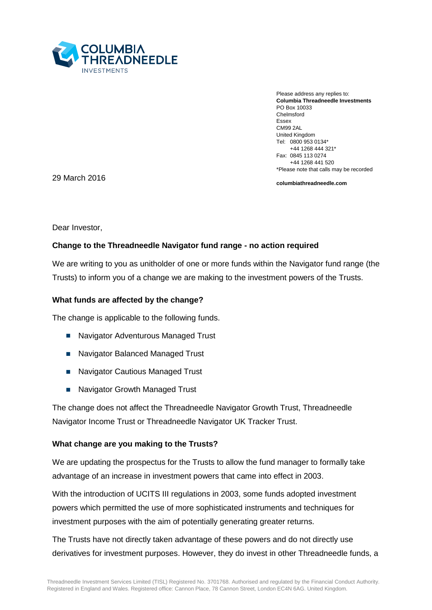

Please address any replies to: **Columbia Threadneedle Investments** PO Box 10033 Chelmsford Essex CM99 2AL United Kingdom Tel: 0800 953 0134\* +44 1268 444 321\* Fax: 0845 113 0274 +44 1268 441 520 \*Please note that calls may be recorded

29 March 2016

**columbiathreadneedle.com**

Dear Investor,

## **Change to the Threadneedle Navigator fund range - no action required**

We are writing to you as unitholder of one or more funds within the Navigator fund range (the Trusts) to inform you of a change we are making to the investment powers of the Trusts.

#### **What funds are affected by the change?**

The change is applicable to the following funds.

- Navigator Adventurous Managed Trust
- Navigator Balanced Managed Trust
- Navigator Cautious Managed Trust
- Navigator Growth Managed Trust

The change does not affect the Threadneedle Navigator Growth Trust, Threadneedle Navigator Income Trust or Threadneedle Navigator UK Tracker Trust.

#### **What change are you making to the Trusts?**

We are updating the prospectus for the Trusts to allow the fund manager to formally take advantage of an increase in investment powers that came into effect in 2003.

With the introduction of UCITS III regulations in 2003, some funds adopted investment powers which permitted the use of more sophisticated instruments and techniques for investment purposes with the aim of potentially generating greater returns.

The Trusts have not directly taken advantage of these powers and do not directly use derivatives for investment purposes. However, they do invest in other Threadneedle funds, a